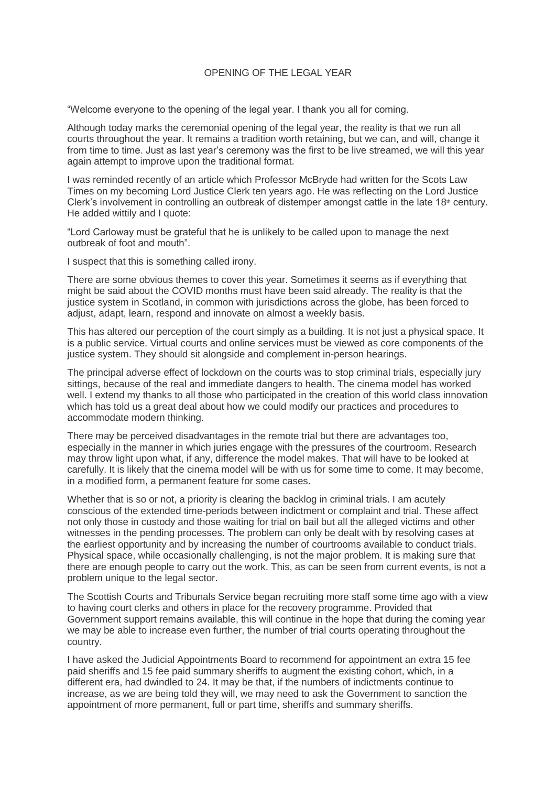## OPENING OF THE LEGAL YEAR

"Welcome everyone to the opening of the legal year. I thank you all for coming.

Although today marks the ceremonial opening of the legal year, the reality is that we run all courts throughout the year. It remains a tradition worth retaining, but we can, and will, change it from time to time. Just as last year's ceremony was the first to be live streamed, we will this year again attempt to improve upon the traditional format.

I was reminded recently of an article which Professor McBryde had written for the Scots Law Times on my becoming Lord Justice Clerk ten years ago. He was reflecting on the Lord Justice Clerk's involvement in controlling an outbreak of distemper amongst cattle in the late  $18<sup>th</sup>$  century. He added wittily and I quote:

"Lord Carloway must be grateful that he is unlikely to be called upon to manage the next outbreak of foot and mouth".

I suspect that this is something called irony.

There are some obvious themes to cover this year. Sometimes it seems as if everything that might be said about the COVID months must have been said already. The reality is that the justice system in Scotland, in common with jurisdictions across the globe, has been forced to adjust, adapt, learn, respond and innovate on almost a weekly basis.

This has altered our perception of the court simply as a building. It is not just a physical space. It is a public service. Virtual courts and online services must be viewed as core components of the justice system. They should sit alongside and complement in-person hearings.

The principal adverse effect of lockdown on the courts was to stop criminal trials, especially jury sittings, because of the real and immediate dangers to health. The cinema model has worked well. I extend my thanks to all those who participated in the creation of this world class innovation which has told us a great deal about how we could modify our practices and procedures to accommodate modern thinking.

There may be perceived disadvantages in the remote trial but there are advantages too, especially in the manner in which juries engage with the pressures of the courtroom. Research may throw light upon what, if any, difference the model makes. That will have to be looked at carefully. It is likely that the cinema model will be with us for some time to come. It may become, in a modified form, a permanent feature for some cases.

Whether that is so or not, a priority is clearing the backlog in criminal trials. I am acutely conscious of the extended time-periods between indictment or complaint and trial. These affect not only those in custody and those waiting for trial on bail but all the alleged victims and other witnesses in the pending processes. The problem can only be dealt with by resolving cases at the earliest opportunity and by increasing the number of courtrooms available to conduct trials. Physical space, while occasionally challenging, is not the major problem. It is making sure that there are enough people to carry out the work. This, as can be seen from current events, is not a problem unique to the legal sector.

The Scottish Courts and Tribunals Service began recruiting more staff some time ago with a view to having court clerks and others in place for the recovery programme. Provided that Government support remains available, this will continue in the hope that during the coming year we may be able to increase even further, the number of trial courts operating throughout the country.

I have asked the Judicial Appointments Board to recommend for appointment an extra 15 fee paid sheriffs and 15 fee paid summary sheriffs to augment the existing cohort, which, in a different era, had dwindled to 24. It may be that, if the numbers of indictments continue to increase, as we are being told they will, we may need to ask the Government to sanction the appointment of more permanent, full or part time, sheriffs and summary sheriffs.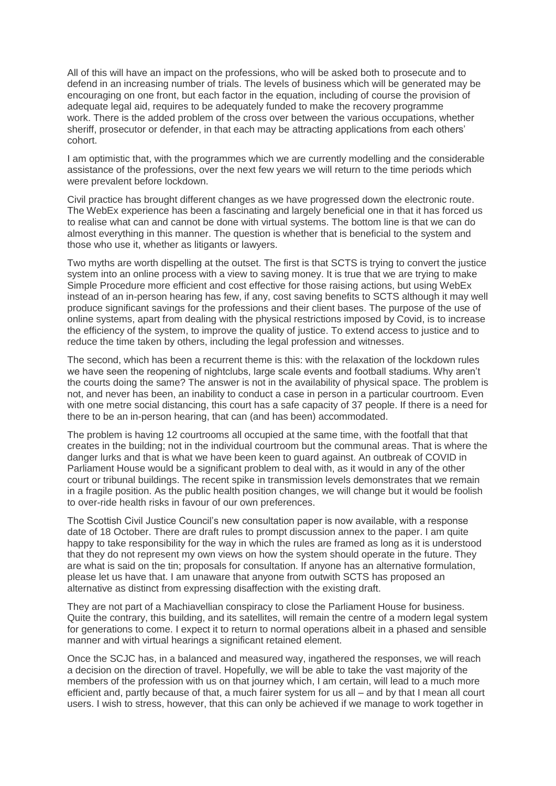All of this will have an impact on the professions, who will be asked both to prosecute and to defend in an increasing number of trials. The levels of business which will be generated may be encouraging on one front, but each factor in the equation, including of course the provision of adequate legal aid, requires to be adequately funded to make the recovery programme work. There is the added problem of the cross over between the various occupations, whether sheriff, prosecutor or defender, in that each may be attracting applications from each others' cohort.

I am optimistic that, with the programmes which we are currently modelling and the considerable assistance of the professions, over the next few years we will return to the time periods which were prevalent before lockdown.

Civil practice has brought different changes as we have progressed down the electronic route. The WebEx experience has been a fascinating and largely beneficial one in that it has forced us to realise what can and cannot be done with virtual systems. The bottom line is that we can do almost everything in this manner. The question is whether that is beneficial to the system and those who use it, whether as litigants or lawyers.

Two myths are worth dispelling at the outset. The first is that SCTS is trying to convert the justice system into an online process with a view to saving money. It is true that we are trying to make Simple Procedure more efficient and cost effective for those raising actions, but using WebEx instead of an in-person hearing has few, if any, cost saving benefits to SCTS although it may well produce significant savings for the professions and their client bases. The purpose of the use of online systems, apart from dealing with the physical restrictions imposed by Covid, is to increase the efficiency of the system, to improve the quality of justice. To extend access to justice and to reduce the time taken by others, including the legal profession and witnesses.

The second, which has been a recurrent theme is this: with the relaxation of the lockdown rules we have seen the reopening of nightclubs, large scale events and football stadiums. Why aren't the courts doing the same? The answer is not in the availability of physical space. The problem is not, and never has been, an inability to conduct a case in person in a particular courtroom. Even with one metre social distancing, this court has a safe capacity of 37 people. If there is a need for there to be an in-person hearing, that can (and has been) accommodated.

The problem is having 12 courtrooms all occupied at the same time, with the footfall that that creates in the building; not in the individual courtroom but the communal areas. That is where the danger lurks and that is what we have been keen to guard against. An outbreak of COVID in Parliament House would be a significant problem to deal with, as it would in any of the other court or tribunal buildings. The recent spike in transmission levels demonstrates that we remain in a fragile position. As the public health position changes, we will change but it would be foolish to over-ride health risks in favour of our own preferences.

The Scottish Civil Justice Council's new consultation paper is now available, with a response date of 18 October. There are draft rules to prompt discussion annex to the paper. I am quite happy to take responsibility for the way in which the rules are framed as long as it is understood that they do not represent my own views on how the system should operate in the future. They are what is said on the tin; proposals for consultation. If anyone has an alternative formulation, please let us have that. I am unaware that anyone from outwith SCTS has proposed an alternative as distinct from expressing disaffection with the existing draft.

They are not part of a Machiavellian conspiracy to close the Parliament House for business. Quite the contrary, this building, and its satellites, will remain the centre of a modern legal system for generations to come. I expect it to return to normal operations albeit in a phased and sensible manner and with virtual hearings a significant retained element.

Once the SCJC has, in a balanced and measured way, ingathered the responses, we will reach a decision on the direction of travel. Hopefully, we will be able to take the vast majority of the members of the profession with us on that journey which, I am certain, will lead to a much more efficient and, partly because of that, a much fairer system for us all – and by that I mean all court users. I wish to stress, however, that this can only be achieved if we manage to work together in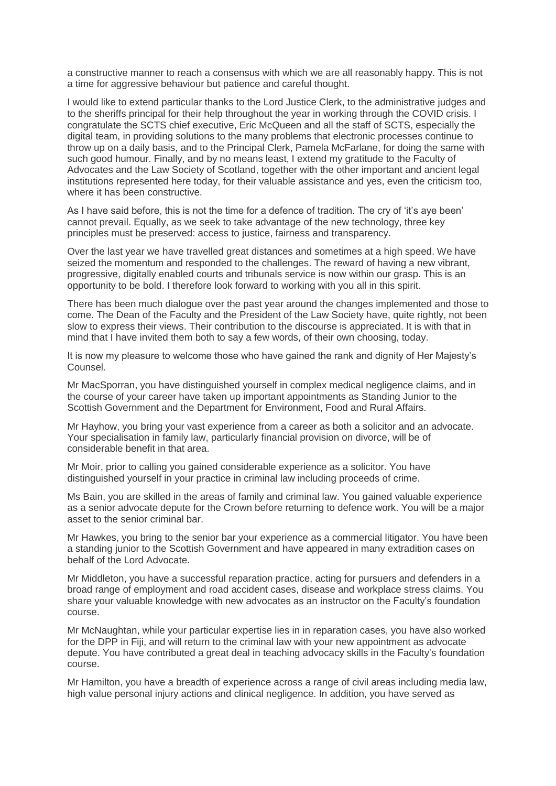a constructive manner to reach a consensus with which we are all reasonably happy. This is not a time for aggressive behaviour but patience and careful thought.

I would like to extend particular thanks to the Lord Justice Clerk, to the administrative judges and to the sheriffs principal for their help throughout the year in working through the COVID crisis. I congratulate the SCTS chief executive, Eric McQueen and all the staff of SCTS, especially the digital team, in providing solutions to the many problems that electronic processes continue to throw up on a daily basis, and to the Principal Clerk, Pamela McFarlane, for doing the same with such good humour. Finally, and by no means least, I extend my gratitude to the Faculty of Advocates and the Law Society of Scotland, together with the other important and ancient legal institutions represented here today, for their valuable assistance and yes, even the criticism too, where it has been constructive.

As I have said before, this is not the time for a defence of tradition. The cry of 'it's aye been' cannot prevail. Equally, as we seek to take advantage of the new technology, three key principles must be preserved: access to justice, fairness and transparency.

Over the last year we have travelled great distances and sometimes at a high speed. We have seized the momentum and responded to the challenges. The reward of having a new vibrant, progressive, digitally enabled courts and tribunals service is now within our grasp. This is an opportunity to be bold. I therefore look forward to working with you all in this spirit.

There has been much dialogue over the past year around the changes implemented and those to come. The Dean of the Faculty and the President of the Law Society have, quite rightly, not been slow to express their views. Their contribution to the discourse is appreciated. It is with that in mind that I have invited them both to say a few words, of their own choosing, today.

It is now my pleasure to welcome those who have gained the rank and dignity of Her Majesty's Counsel.

Mr MacSporran, you have distinguished yourself in complex medical negligence claims, and in the course of your career have taken up important appointments as Standing Junior to the Scottish Government and the Department for Environment, Food and Rural Affairs.

Mr Hayhow, you bring your vast experience from a career as both a solicitor and an advocate. Your specialisation in family law, particularly financial provision on divorce, will be of considerable benefit in that area.

Mr Moir, prior to calling you gained considerable experience as a solicitor. You have distinguished yourself in your practice in criminal law including proceeds of crime.

Ms Bain, you are skilled in the areas of family and criminal law. You gained valuable experience as a senior advocate depute for the Crown before returning to defence work. You will be a major asset to the senior criminal bar.

Mr Hawkes, you bring to the senior bar your experience as a commercial litigator. You have been a standing junior to the Scottish Government and have appeared in many extradition cases on behalf of the Lord Advocate.

Mr Middleton, you have a successful reparation practice, acting for pursuers and defenders in a broad range of employment and road accident cases, disease and workplace stress claims. You share your valuable knowledge with new advocates as an instructor on the Faculty's foundation course.

Mr McNaughtan, while your particular expertise lies in in reparation cases, you have also worked for the DPP in Fiji, and will return to the criminal law with your new appointment as advocate depute. You have contributed a great deal in teaching advocacy skills in the Faculty's foundation course.

Mr Hamilton, you have a breadth of experience across a range of civil areas including media law, high value personal injury actions and clinical negligence. In addition, you have served as